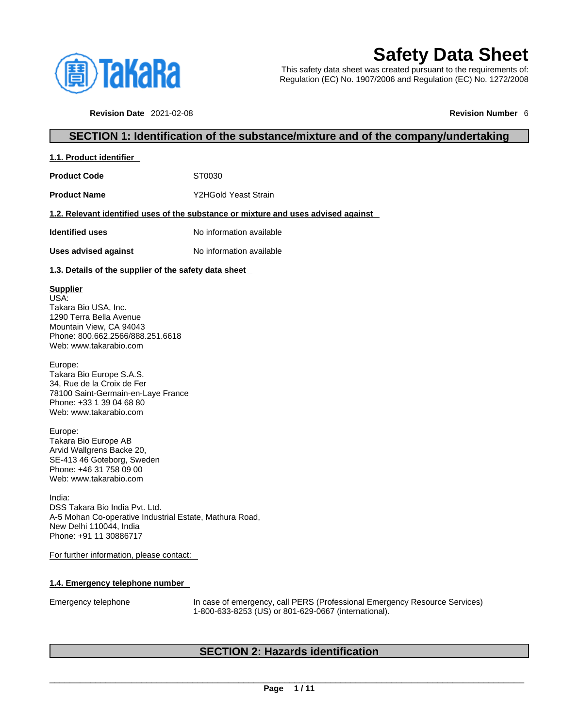

## **Safety Data Sheet**

This safety data sheet was created pursuant to the requirements of: Regulation (EC) No. 1907/2006 and Regulation (EC) No. 1272/2008

**Revision Date** 2021-02-08 **Revision Number** 6

### **SECTION 1: Identification of the substance/mixture and of the company/undertaking**

| 1.1. Product identifier |
|-------------------------|
|-------------------------|

Product Code **ST0030** 

**Product Name** Y2HGold Yeast Strain

#### **1.2. Relevant identified uses of the substance or mixture and uses advised against**

**Identified uses** No information available

**Uses advised against** No information available

#### **1.3. Details of the supplier of the safety data sheet**

#### **Supplier**

USA: Takara Bio USA, Inc. 1290 Terra Bella Avenue Mountain View, CA 94043 Phone: 800.662.2566/888.251.6618 Web: www.takarabio.com

Europe: Takara Bio Europe S.A.S. 34, Rue de la Croix de Fer 78100 Saint-Germain-en-Laye France Phone: +33 1 39 04 68 80 Web: www.takarabio.com

Europe: Takara Bio Europe AB Arvid Wallgrens Backe 20, SE-413 46 Goteborg, Sweden Phone: +46 31 758 09 00 Web: www.takarabio.com

India: DSS Takara Bio India Pvt. Ltd. A-5 Mohan Co-operative Industrial Estate, Mathura Road, New Delhi 110044, India Phone: +91 11 30886717

For further information, please contact:

#### **1.4. Emergency telephone number**

Emergency telephone In case of emergency, call PERS (Professional Emergency Resource Services) 1-800-633-8253 (US) or 801-629-0667 (international).

### **SECTION 2: Hazards identification**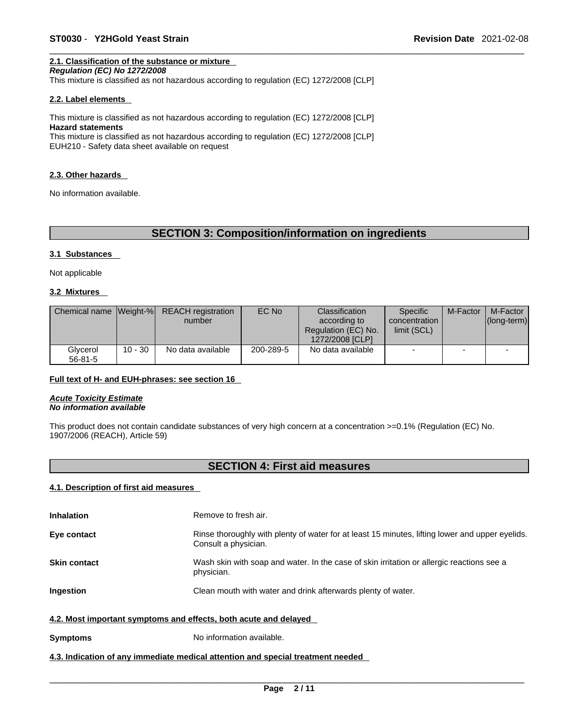## **2.1. Classification of the substance or mixture**

EUH210 - Safety data sheet available on request

*Regulation (EC) No 1272/2008* 

This mixture is classified as not hazardous according to regulation (EC) 1272/2008 [CLP]

#### **2.2. Label elements**

This mixture is classified as not hazardous according to regulation (EC) 1272/2008 [CLP] **Hazard statements** This mixture is classified as not hazardous according to regulation (EC) 1272/2008 [CLP]

**2.3. Other hazards** 

No information available.

## **SECTION 3: Composition/information on ingredients**

#### **3.1 Substances**

Not applicable

#### **3.2 Mixtures**

|                           |           | Chemical name Weight-% REACH registration<br>number | EC No     | Classification<br>according to<br>Regulation (EC) No.<br>1272/2008 [CLP] | <b>Specific</b><br>concentration<br>limit (SCL) | M-Factor | M-Factor<br>$ $ (long-term) $ $ |
|---------------------------|-----------|-----------------------------------------------------|-----------|--------------------------------------------------------------------------|-------------------------------------------------|----------|---------------------------------|
| Glycerol<br>$56 - 81 - 5$ | $10 - 30$ | No data available                                   | 200-289-5 | No data available                                                        | -                                               |          |                                 |

#### **Full text of H- and EUH-phrases: see section 16**

*Acute Toxicity Estimate No information available* 

This product does not contain candidate substances of very high concern at a concentration >=0.1% (Regulation (EC) No. 1907/2006 (REACH), Article 59)

## **SECTION 4: First aid measures**

#### **4.1. Description of first aid measures**

| <b>Inhalation</b>                                                | Remove to fresh air.                                                                                                    |
|------------------------------------------------------------------|-------------------------------------------------------------------------------------------------------------------------|
| Eye contact                                                      | Rinse thoroughly with plenty of water for at least 15 minutes, lifting lower and upper eyelids.<br>Consult a physician. |
| <b>Skin contact</b>                                              | Wash skin with soap and water. In the case of skin irritation or allergic reactions see a<br>physician.                 |
| <b>Ingestion</b>                                                 | Clean mouth with water and drink afterwards plenty of water.                                                            |
| 4.2. Most important symptoms and effects, both acute and delayed |                                                                                                                         |
| <b>Symptoms</b>                                                  | No information available.                                                                                               |

#### **4.3. Indication of any immediate medical attention and special treatment needed**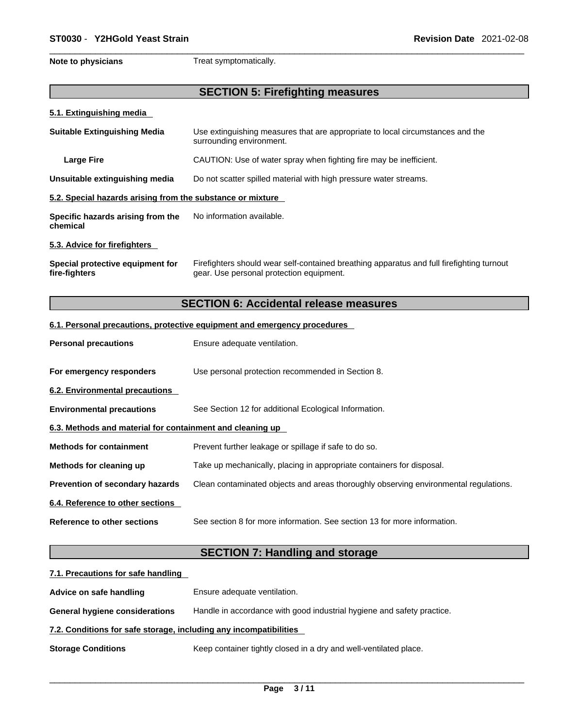**Note to physicians** Treat symptomatically.

## **SECTION 5: Firefighting measures**

#### **5.1. Extinguishing media**

| <b>Suitable Extinguishing Media</b>                                        | Use extinguishing measures that are appropriate to local circumstances and the<br>surrounding environment.                            |  |  |  |
|----------------------------------------------------------------------------|---------------------------------------------------------------------------------------------------------------------------------------|--|--|--|
| <b>Large Fire</b>                                                          | CAUTION: Use of water spray when fighting fire may be inefficient.                                                                    |  |  |  |
| Unsuitable extinguishing media                                             | Do not scatter spilled material with high pressure water streams.                                                                     |  |  |  |
| 5.2. Special hazards arising from the substance or mixture                 |                                                                                                                                       |  |  |  |
| Specific hazards arising from the<br>No information available.<br>chemical |                                                                                                                                       |  |  |  |
| 5.3. Advice for firefighters                                               |                                                                                                                                       |  |  |  |
| Special protective equipment for<br>fire-fighters                          | Firefighters should wear self-contained breathing apparatus and full firefighting turnout<br>gear. Use personal protection equipment. |  |  |  |

## **SECTION 6: Accidental release measures**

#### **6.1. Personal precautions, protective equipment and emergency procedures**

| <b>Personal precautions</b>                               | Ensure adequate ventilation.                                                         |  |  |
|-----------------------------------------------------------|--------------------------------------------------------------------------------------|--|--|
| For emergency responders                                  | Use personal protection recommended in Section 8.                                    |  |  |
| 6.2. Environmental precautions                            |                                                                                      |  |  |
| <b>Environmental precautions</b>                          | See Section 12 for additional Ecological Information.                                |  |  |
| 6.3. Methods and material for containment and cleaning up |                                                                                      |  |  |
| <b>Methods for containment</b>                            | Prevent further leakage or spillage if safe to do so.                                |  |  |
| Methods for cleaning up                                   | Take up mechanically, placing in appropriate containers for disposal.                |  |  |
| <b>Prevention of secondary hazards</b>                    | Clean contaminated objects and areas thoroughly observing environmental regulations. |  |  |
| 6.4. Reference to other sections                          |                                                                                      |  |  |
| Reference to other sections                               | See section 8 for more information. See section 13 for more information.             |  |  |

## **SECTION 7: Handling and storage**

| 7.1. Precautions for safe handling                                |                                                                        |  |  |  |
|-------------------------------------------------------------------|------------------------------------------------------------------------|--|--|--|
| Advice on safe handling                                           | Ensure adequate ventilation.                                           |  |  |  |
| <b>General hygiene considerations</b>                             | Handle in accordance with good industrial hygiene and safety practice. |  |  |  |
| 7.2. Conditions for safe storage, including any incompatibilities |                                                                        |  |  |  |
| <b>Storage Conditions</b>                                         | Keep container tightly closed in a dry and well-ventilated place.      |  |  |  |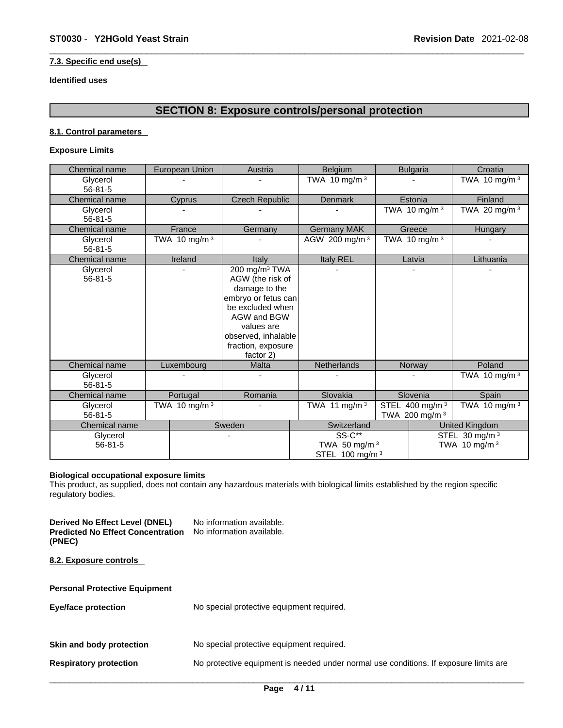#### **7.3. Specific end use(s)**

#### **Identified uses**

## **SECTION 8: Exposure controls/personal protection**

#### **8.1. Control parameters**

#### **Exposure Limits**

| Chemical name             | European Union                              | Austria                                                                                                                                                                                          | Belgium                                                        |                                              | <b>Bulgaria</b> | Croatia                                    |
|---------------------------|---------------------------------------------|--------------------------------------------------------------------------------------------------------------------------------------------------------------------------------------------------|----------------------------------------------------------------|----------------------------------------------|-----------------|--------------------------------------------|
| Glycerol<br>$56 - 81 - 5$ |                                             |                                                                                                                                                                                                  | TWA 10 mg/m $3$                                                |                                              |                 | TWA 10 mg/m <sup>3</sup>                   |
| Chemical name             | Cyprus                                      | <b>Czech Republic</b>                                                                                                                                                                            | Denmark                                                        |                                              | Estonia         | Finland                                    |
| Glycerol<br>$56 - 81 - 5$ |                                             |                                                                                                                                                                                                  |                                                                |                                              | TWA 10 mg/m 3   | TWA 20 mg/m <sup>3</sup>                   |
| Chemical name             | France                                      | Germany                                                                                                                                                                                          | <b>Germany MAK</b>                                             |                                              | Greece          | Hungary                                    |
| Glycerol<br>$56 - 81 - 5$ | TWA 10 mg/m 3                               |                                                                                                                                                                                                  | AGW 200 mg/m 3                                                 |                                              | TWA 10 mg/m $3$ |                                            |
| Chemical name             | Ireland                                     | Italy                                                                                                                                                                                            | Italy REL                                                      |                                              | Latvia          | Lithuania                                  |
| Glycerol<br>$56 - 81 - 5$ |                                             | 200 mg/m <sup>3</sup> TWA<br>AGW (the risk of<br>damage to the<br>embryo or fetus can<br>be excluded when<br>AGW and BGW<br>values are<br>observed, inhalable<br>fraction, exposure<br>factor 2) |                                                                |                                              |                 |                                            |
| Chemical name             | Luxembourg                                  | <b>Malta</b>                                                                                                                                                                                     | <b>Netherlands</b>                                             |                                              | Norway          | Poland                                     |
| Glycerol<br>$56 - 81 - 5$ |                                             |                                                                                                                                                                                                  |                                                                |                                              |                 | TWA 10 mg/m $3$                            |
| Chemical name             | Portugal                                    | Romania                                                                                                                                                                                          | Slovakia                                                       | Slovenia                                     |                 | Spain                                      |
| Glycerol<br>$56 - 81 - 5$ | TWA 10 mg/m $3$<br>TWA 11 mg/m <sup>3</sup> |                                                                                                                                                                                                  |                                                                | STEL 400 mg/m <sup>3</sup><br>TWA 200 mg/m 3 | TWA 10 mg/m $3$ |                                            |
| Chemical name             |                                             | Sweden                                                                                                                                                                                           | Switzerland                                                    |                                              |                 | <b>United Kingdom</b>                      |
| Glycerol<br>$56 - 81 - 5$ |                                             |                                                                                                                                                                                                  | <b>SS-C**</b><br>TWA 50 mg/m $3$<br>STEL 100 mg/m <sup>3</sup> |                                              |                 | STEL 30 mg/m <sup>3</sup><br>TWA 10 mg/m 3 |

#### **Biological occupational exposure limits**

This product, as supplied, does not contain any hazardous materials with biological limits established by the region specific regulatory bodies.

**Derived No Effect Level (DNEL)** No information available. **Predicted No Effect Concentration** No information available. **(PNEC) 8.2. Exposure controls Personal Protective Equipment Eye/face protection** No special protective equipment required. **Skin and body protection** No special protective equipment required. **Respiratory protection** No protective equipment is needed under normal use conditions. If exposure limits are  $\_$  ,  $\_$  ,  $\_$  ,  $\_$  ,  $\_$  ,  $\_$  ,  $\_$  ,  $\_$  ,  $\_$  ,  $\_$  ,  $\_$  ,  $\_$  ,  $\_$  ,  $\_$  ,  $\_$  ,  $\_$  ,  $\_$  ,  $\_$  ,  $\_$  ,  $\_$  ,  $\_$  ,  $\_$  ,  $\_$  ,  $\_$  ,  $\_$  ,  $\_$  ,  $\_$  ,  $\_$  ,  $\_$  ,  $\_$  ,  $\_$  ,  $\_$  ,  $\_$  ,  $\_$  ,  $\_$  ,  $\_$  ,  $\_$  ,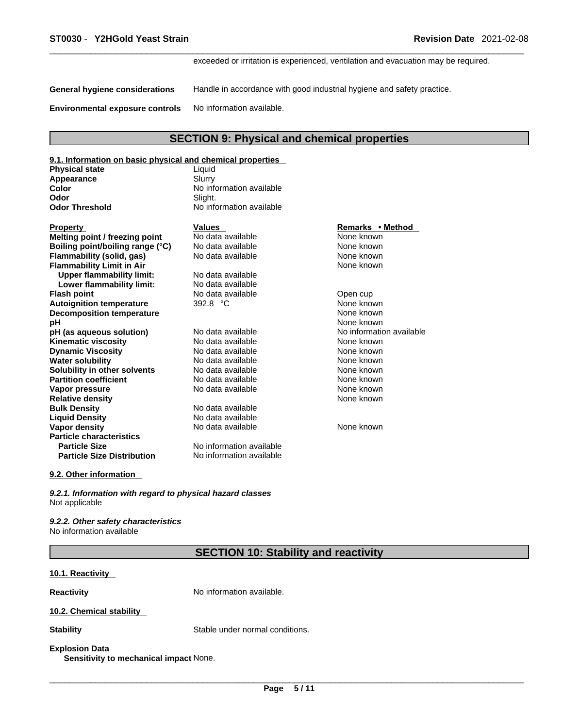exceeded or irritation is experienced, ventilation and evacuation may be required.

**General hygiene considerations** Handle in accordance with good industrial hygiene and safety practice.

**Environmental exposure controls** No information available.

## **SECTION 9: Physical and chemical properties**

| 9.1. Information on basic physical and chemical properties |        |  |
|------------------------------------------------------------|--------|--|
| <b>Physical state</b>                                      | himi I |  |

| <b>ΓΙΙγ</b> οιυαι <b>οιαι</b> σ | Liyuiu                   |  |
|---------------------------------|--------------------------|--|
| Appearance                      | Slurry                   |  |
| Color                           | No information available |  |
| Odor                            | Slight.                  |  |
| <b>Odor Threshold</b>           | No information available |  |
|                                 |                          |  |

| Property                          | Values                   | Remarks • Method         |
|-----------------------------------|--------------------------|--------------------------|
| Melting point / freezing point    | No data available        | None known               |
| Boiling point/boiling range (°C)  | No data available        | None known               |
| Flammability (solid, gas)         | No data available        | None known               |
| <b>Flammability Limit in Air</b>  |                          | None known               |
| <b>Upper flammability limit:</b>  | No data available        |                          |
| Lower flammability limit:         | No data available        |                          |
| Flash point                       | No data available        | Open cup                 |
| <b>Autoignition temperature</b>   | 392.8 $^{\circ}$ C       | None known               |
| <b>Decomposition temperature</b>  |                          | None known               |
| рH                                |                          | None known               |
| pH (as aqueous solution)          | No data available        | No information available |
| Kinematic viscosity               | No data available        | None known               |
| Dynamic Viscosity                 | No data available        | None known               |
| Water solubility                  | No data available        | None known               |
| Solubility in other solvents      | No data available        | None known               |
| <b>Partition coefficient</b>      | No data available        | None known               |
| Vapor pressure                    | No data available        | None known               |
| <b>Relative density</b>           |                          | None known               |
| <b>Bulk Density</b>               | No data available        |                          |
| <b>Liquid Density</b>             | No data available        |                          |
| Vapor density                     | No data available        | None known               |
| <b>Particle characteristics</b>   |                          |                          |
| <b>Particle Size</b>              | No information available |                          |
| <b>Particle Size Distribution</b> | No information available |                          |
|                                   |                          |                          |

## **Melting point / freezing point** No data available None known **None known None known None known PH (assumed A (a)** No information available **Kingmandata Available View None known Die Case Access None known Solution Science Science Available Available Views Solution Solution Solution Solution Solution Solution Solution Solution Solution Solution Solution Solution Solution Solution Solution Solution Solution Solution Solution Solution Solution Solution Solution Solution Solut** re Partition <mark>None known</mark><br>Partitional School and None known

**Remarks • Method** 

#### **9.2. Other information**

*9.2.1. Information with regard to physical hazard classes* Not applicable

*9.2.2. Other safety characteristics* No information available

### **SECTION 10: Stability and reactivity**

#### **10.1. Reactivity**

**Reactivity No information available.** 

#### **10.2. Chemical stability**

**Stability** Stable under normal conditions.

#### **Explosion Data**

**Sensitivity to mechanical impact** None.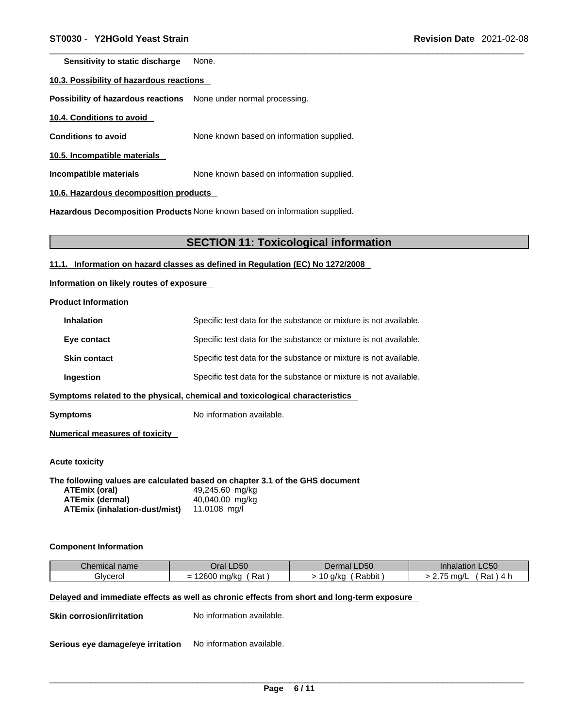**Sensitivity to static discharge** None.

#### **10.3. Possibility of hazardous reactions**

**Possibility of hazardous reactions** None under normal processing.

**10.4. Conditions to avoid** 

**Conditions to avoid** None known based on information supplied.

**10.5. Incompatible materials**

**Incompatible materials** None known based on information supplied.

**10.6. Hazardous decomposition products** 

**Hazardous Decomposition Products** None known based on information supplied.

#### **SECTION 11: Toxicological information**

**11.1. Information on hazard classes as defined in Regulation (EC) No 1272/2008**

**Information on likely routes of exposure**

**Product Information**

| <b>Inhalation</b>   | Specific test data for the substance or mixture is not available. |
|---------------------|-------------------------------------------------------------------|
| Eye contact         | Specific test data for the substance or mixture is not available. |
| <b>Skin contact</b> | Specific test data for the substance or mixture is not available. |
| Ingestion           | Specific test data for the substance or mixture is not available. |
|                     |                                                                   |

**<u>Symptoms related to the physical, chemical and toxicological characteristics</u>** 

**Symptoms** No information available.

**Numerical measures of toxicity**

**Acute toxicity** 

**The following values are calculated based on chapter 3.1 of the GHS document**

| ATEmix (oral)                        | 49,245.60 mg/kg |
|--------------------------------------|-----------------|
| <b>ATEmix (dermal)</b>               | 40,040.00 mg/kg |
| <b>ATEmix (inhalation-dust/mist)</b> | 11.0108 mg/l    |

#### **Component Information**

| Chemical<br>name     | Oral LD50                    | Dermal LD50         | $\sim$ $\sim$ $\sim$<br>Inhalation<br>LU50 |
|----------------------|------------------------------|---------------------|--------------------------------------------|
| -<br><b>Jivcerol</b> | 10000<br>Rat<br>ma/ka<br>∠∪∪ | Rabbit<br>a/ka<br>ັ | Rat<br>$\rightarrow$ $\rightarrow$<br>ma/L |

#### **Delayed and immediate effects as well as chronic effects from short and long-term exposure**

**Skin corrosion/irritation** No information available.

**Serious eye damage/eye irritation** No information available.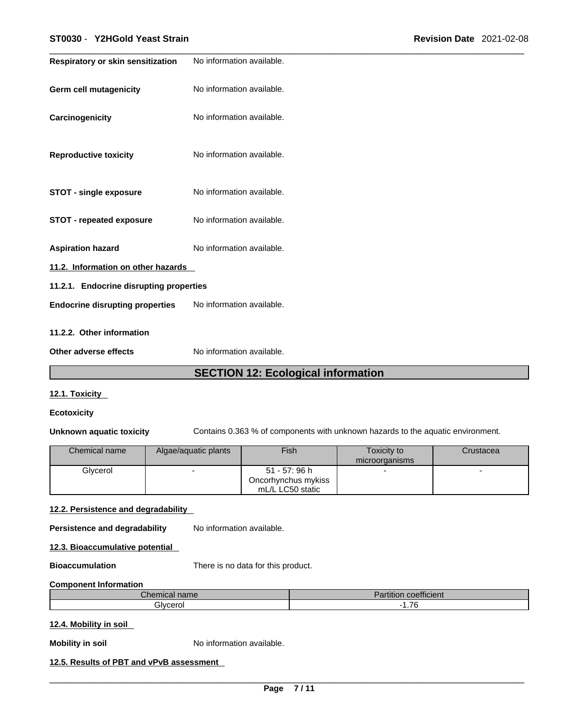| Respiratory or skin sensitization       | No information available. |  |  |
|-----------------------------------------|---------------------------|--|--|
|                                         |                           |  |  |
| <b>Germ cell mutagenicity</b>           | No information available. |  |  |
|                                         |                           |  |  |
| Carcinogenicity                         | No information available. |  |  |
|                                         |                           |  |  |
|                                         |                           |  |  |
| <b>Reproductive toxicity</b>            | No information available. |  |  |
|                                         |                           |  |  |
|                                         |                           |  |  |
| <b>STOT - single exposure</b>           | No information available. |  |  |
|                                         |                           |  |  |
| <b>STOT - repeated exposure</b>         | No information available. |  |  |
|                                         |                           |  |  |
| <b>Aspiration hazard</b>                | No information available. |  |  |
|                                         |                           |  |  |
| 11.2. Information on other hazards      |                           |  |  |
| 11.2.1. Endocrine disrupting properties |                           |  |  |
| <b>Endocrine disrupting properties</b>  | No information available. |  |  |
|                                         |                           |  |  |
| 11.2.2. Other information               |                           |  |  |
|                                         |                           |  |  |
| Other adverse effects                   | No information available. |  |  |

## **SECTION 12: Ecological information**

#### **12.1. Toxicity**

#### **Ecotoxicity**

**Unknown aquatic toxicity** Contains 0.363 % of components with unknown hazards to the aquatic environment.

| Chemical name | Algae/aquatic plants | Fish                | Toxicity to    | Crustacea |
|---------------|----------------------|---------------------|----------------|-----------|
|               |                      |                     | microorganisms |           |
| Glycerol      |                      | 51 - 57: 96 h       |                |           |
|               |                      | Oncorhynchus mykiss |                |           |
|               |                      | mL/L LC50 static    |                |           |

#### **12.2. Persistence and degradability**

**Persistence and degradability** No information available.

**12.3. Bioaccumulative potential**

**Bioaccumulation** There is no data for this product.

#### **Component Information**

| $h \wedge w$<br>$   -$<br>Unemical name | $\overline{\phantom{a}}$<br>.<br><b>coefficient</b><br>artition |
|-----------------------------------------|-----------------------------------------------------------------|
| alvcerol                                | $\rightarrow$<br>.                                              |

#### **12.4. Mobility in soil**

**Mobility in soil** No information available.

### **12.5. Results of PBT and vPvB assessment**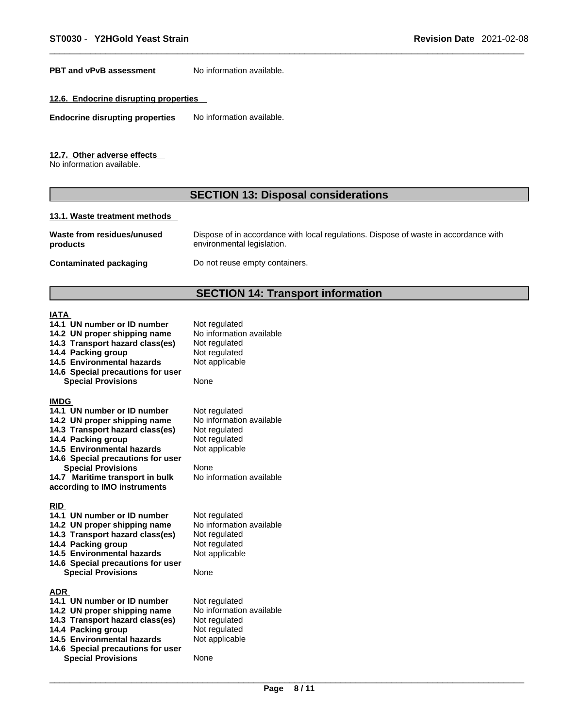**PBT** and **vPvB** assessment No information available.

#### **12.6. Endocrine disrupting properties**

**Endocrine disrupting properties** No information available.

#### **12.7. Other adverse effects**

No information available.

## **SECTION 13: Disposal considerations**

#### **13.1. Waste treatment methods**

| Waste from residues/unused | Dispose of in accordance with local regulations. Dispose of waste in accordance with |
|----------------------------|--------------------------------------------------------------------------------------|
| products                   | environmental legislation.                                                           |
|                            |                                                                                      |

**Contaminated packaging** Do not reuse empty containers.

## **SECTION 14: Transport information**

## $\frac{IA}{14}$

|                                                                                                                                                                                                                                                                                                               | SECTION 14: Transport in                                                                                                          |
|---------------------------------------------------------------------------------------------------------------------------------------------------------------------------------------------------------------------------------------------------------------------------------------------------------------|-----------------------------------------------------------------------------------------------------------------------------------|
| <b>IATA</b><br>14.1 UN number or ID number<br>14.2 UN proper shipping name<br>14.3 Transport hazard class(es)<br>14.4 Packing group<br>14.5 Environmental hazards<br>14.6 Special precautions for user<br><b>Special Provisions</b>                                                                           | Not regulated<br>No information available<br>Not regulated<br>Not regulated<br>Not applicable<br>None                             |
| <b>IMDG</b><br>14.1 UN number or ID number<br>14.2 UN proper shipping name<br>14.3 Transport hazard class(es)<br>14.4 Packing group<br><b>14.5 Environmental hazards</b><br>14.6 Special precautions for user<br><b>Special Provisions</b><br>14.7 Maritime transport in bulk<br>according to IMO instruments | Not regulated<br>No information available<br>Not regulated<br>Not regulated<br>Not applicable<br>None<br>No information available |
| <b>RID</b><br>14.1 UN number or ID number<br>14.2 UN proper shipping name<br>14.3 Transport hazard class(es)<br>14.4 Packing group<br>14.5 Environmental hazards<br>14.6 Special precautions for user<br><b>Special Provisions</b>                                                                            | Not regulated<br>No information available<br>Not regulated<br>Not regulated<br>Not applicable<br>None                             |
| ADR<br>14.1 UN number or ID number<br>14.2 UN proper shipping name<br>14.3 Transport hazard class(es)<br>14.4 Packing group<br>14.5 Environmental hazards<br>14.6 Special precautions for user<br><b>Special Provisions</b>                                                                                   | Not regulated<br>No information available<br>Not regulated<br>Not regulated<br>Not applicable<br>None                             |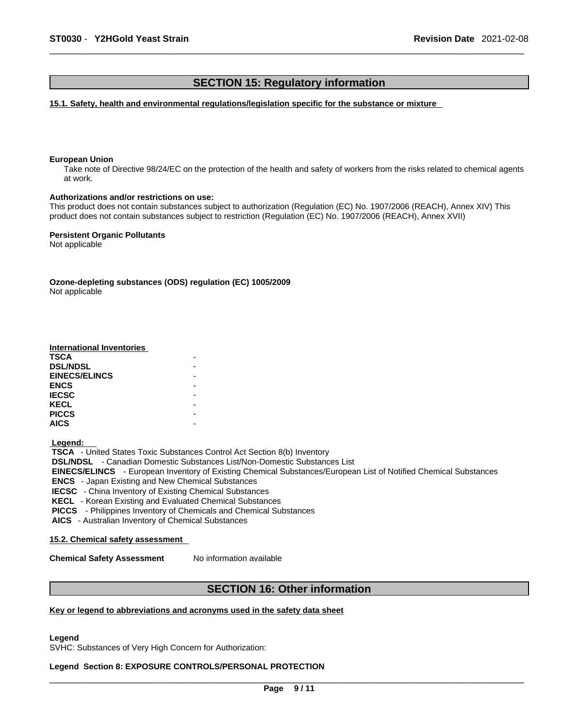### **SECTION 15: Regulatory information**

**15.1. Safety, health and environmental regulations/legislation specific for the substance or mixture**

#### **European Union**

Take note of Directive 98/24/EC on the protection of the health and safety of workers from the risks related to chemical agents at work.

#### **Authorizations and/or restrictions on use:**

This product does not contain substances subject to authorization (Regulation (EC) No. 1907/2006 (REACH), Annex XIV) This product does not contain substances subject to restriction (Regulation (EC) No. 1907/2006 (REACH), Annex XVII)

**Persistent Organic Pollutants** Not applicable

**Ozone-depleting substances (ODS) regulation (EC) 1005/2009** Not applicable

# **International Inventories**

| TSCA                 |  |
|----------------------|--|
| <b>DSL/NDSL</b>      |  |
| <b>EINECS/ELINCS</b> |  |
| <b>ENCS</b>          |  |
| <b>IECSC</b>         |  |
| KECL                 |  |
| <b>PICCS</b>         |  |
| AICS                 |  |
|                      |  |

 **Legend:** 

 **TSCA** - United States Toxic Substances Control Act Section 8(b) Inventory  **DSL/NDSL** - Canadian Domestic Substances List/Non-Domestic Substances List

 **EINECS/ELINCS** - European Inventory of Existing Chemical Substances/European List of Notified Chemical Substances

 **ENCS** - Japan Existing and New Chemical Substances

 **IECSC** - China Inventory of Existing Chemical Substances

 **KECL** - Korean Existing and Evaluated Chemical Substances

 **PICCS** - Philippines Inventory of Chemicals and Chemical Substances

 **AICS** - Australian Inventory of Chemical Substances

#### **15.2. Chemical safety assessment**

**Chemical Safety Assessment** No information available

## **SECTION 16: Other information**

#### **Key or legend to abbreviations and acronyms used in the safety data sheet**

**Legend** 

SVHC: Substances of Very High Concern for Authorization:

### **Legend Section 8: EXPOSURE CONTROLS/PERSONAL PROTECTION**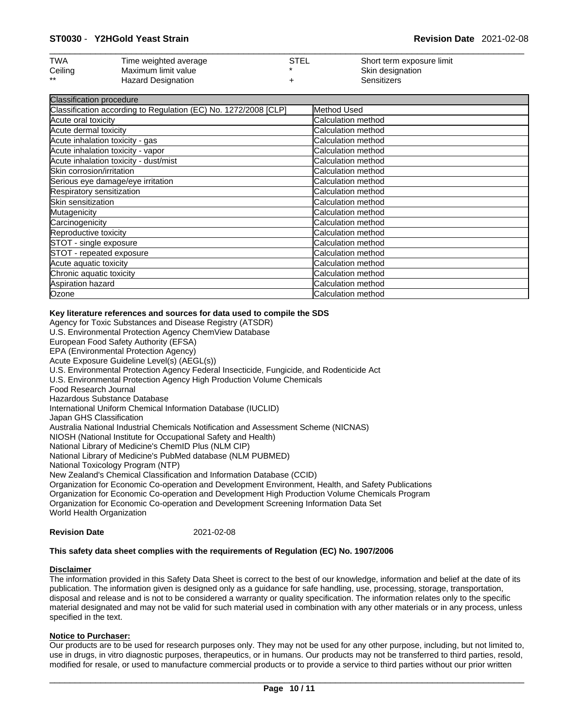| <b>TWA</b> | Time weighted average     | STEL | Short term exposure limit |
|------------|---------------------------|------|---------------------------|
| Ceiling    | Maximum limit value       |      | Skin designation          |
| $***$      | <b>Hazard Designation</b> |      | Sensitizers               |

| Classification procedure                                        |                    |  |
|-----------------------------------------------------------------|--------------------|--|
| Classification according to Regulation (EC) No. 1272/2008 [CLP] | Method Used        |  |
| Acute oral toxicity                                             | Calculation method |  |
| Acute dermal toxicity                                           | Calculation method |  |
| Acute inhalation toxicity - gas                                 | Calculation method |  |
| Acute inhalation toxicity - vapor                               | Calculation method |  |
| Acute inhalation toxicity - dust/mist                           | Calculation method |  |
| Skin corrosion/irritation                                       | Calculation method |  |
| Serious eye damage/eye irritation                               | Calculation method |  |
| Respiratory sensitization                                       | Calculation method |  |
| Skin sensitization                                              | Calculation method |  |
| Mutagenicity                                                    | Calculation method |  |
| Carcinogenicity                                                 | Calculation method |  |
| Reproductive toxicity                                           | Calculation method |  |
| STOT - single exposure                                          | Calculation method |  |
| STOT - repeated exposure                                        | Calculation method |  |
| Acute aquatic toxicity                                          | Calculation method |  |
| Chronic aquatic toxicity                                        | Calculation method |  |
| Aspiration hazard                                               | Calculation method |  |
| Ozone                                                           | Calculation method |  |

#### **Key literature references and sources for data used to compile the SDS**

Agency for Toxic Substances and Disease Registry (ATSDR) U.S. Environmental Protection Agency ChemView Database European Food Safety Authority (EFSA) EPA (Environmental Protection Agency) Acute Exposure Guideline Level(s) (AEGL(s)) U.S. Environmental Protection Agency Federal Insecticide, Fungicide, and Rodenticide Act U.S. Environmental Protection Agency High Production Volume Chemicals Food Research Journal Hazardous Substance Database International Uniform Chemical Information Database (IUCLID) Japan GHS Classification Australia National Industrial Chemicals Notification and Assessment Scheme (NICNAS) NIOSH (National Institute for Occupational Safety and Health) National Library of Medicine's ChemID Plus (NLM CIP) National Library of Medicine's PubMed database (NLM PUBMED) National Toxicology Program (NTP) New Zealand's Chemical Classification and Information Database (CCID) Organization for Economic Co-operation and Development Environment, Health, and Safety Publications Organization for Economic Co-operation and Development High Production Volume Chemicals Program Organization for Economic Co-operation and Development Screening Information Data Set World Health Organization

#### **Revision Date** 2021-02-08

#### **This safety data sheet complies with the requirements of Regulation (EC) No. 1907/2006**

#### **Disclaimer**

The information provided in this Safety Data Sheet is correct to the best of our knowledge, information and belief at the date of its publication. The information given is designed only as a guidance for safe handling, use, processing, storage, transportation, disposal and release and is not to be considered a warranty or quality specification. The information relates only to the specific material designated and may not be valid for such material used in combination with any other materials or in any process, unless specified in the text.

#### **Notice to Purchaser:**

Our products are to be used for research purposes only. They may not be used for any other purpose, including, but not limited to, use in drugs, in vitro diagnostic purposes, therapeutics, or in humans. Our products may not be transferred to third parties, resold, modified for resale, or used to manufacture commercial products or to provide a service to third parties without our prior written